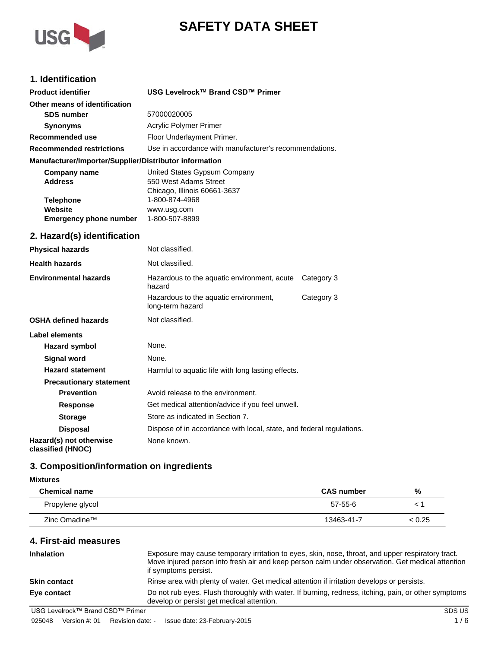



# **1. Identification**

| <b>Product identifier</b>                                                                             | USG Levelrock™ Brand CSD™ Primer                                                                                                         |            |
|-------------------------------------------------------------------------------------------------------|------------------------------------------------------------------------------------------------------------------------------------------|------------|
| Other means of identification                                                                         |                                                                                                                                          |            |
| <b>SDS number</b>                                                                                     | 57000020005                                                                                                                              |            |
| <b>Synonyms</b>                                                                                       | Acrylic Polymer Primer                                                                                                                   |            |
| <b>Recommended use</b>                                                                                | Floor Underlayment Primer.                                                                                                               |            |
| <b>Recommended restrictions</b>                                                                       | Use in accordance with manufacturer's recommendations.                                                                                   |            |
| Manufacturer/Importer/Supplier/Distributor information                                                |                                                                                                                                          |            |
| <b>Company name</b><br><b>Address</b><br><b>Telephone</b><br>Website<br><b>Emergency phone number</b> | United States Gypsum Company<br>550 West Adams Street<br>Chicago, Illinois 60661-3637<br>1-800-874-4968<br>www.usg.com<br>1-800-507-8899 |            |
| 2. Hazard(s) identification                                                                           |                                                                                                                                          |            |
| <b>Physical hazards</b>                                                                               | Not classified.                                                                                                                          |            |
| <b>Health hazards</b>                                                                                 | Not classified.                                                                                                                          |            |
| <b>Environmental hazards</b>                                                                          | Hazardous to the aquatic environment, acute<br>hazard                                                                                    | Category 3 |
|                                                                                                       | Hazardous to the aquatic environment,<br>long-term hazard                                                                                | Category 3 |
| <b>OSHA defined hazards</b>                                                                           | Not classified.                                                                                                                          |            |
| Label elements                                                                                        |                                                                                                                                          |            |
| Hazard symbol                                                                                         | None.                                                                                                                                    |            |
| <b>Signal word</b>                                                                                    | None.                                                                                                                                    |            |
| <b>Hazard statement</b>                                                                               | Harmful to aquatic life with long lasting effects.                                                                                       |            |
| <b>Precautionary statement</b>                                                                        |                                                                                                                                          |            |
| <b>Prevention</b>                                                                                     | Avoid release to the environment.                                                                                                        |            |
| <b>Response</b>                                                                                       | Get medical attention/advice if you feel unwell.                                                                                         |            |
| <b>Storage</b>                                                                                        | Store as indicated in Section 7.                                                                                                         |            |
| <b>Disposal</b>                                                                                       | Dispose of in accordance with local, state, and federal regulations.                                                                     |            |
| Hazard(s) not otherwise                                                                               | None known.                                                                                                                              |            |

**classified (HNOC)**

# **3. Composition/information on ingredients**

#### **Mixtures**

| <b>Chemical name</b> | <b>CAS</b> number | %      |
|----------------------|-------------------|--------|
| Propylene glycol     | $57-55-6$         |        |
| Zinc Omadine™        | 13463-41-7        | < 0.25 |

# **4. First-aid measures**

| <b>Inhalation</b>                | Exposure may cause temporary irritation to eyes, skin, nose, throat, and upper respiratory tract.<br>Move injured person into fresh air and keep person calm under observation. Get medical attention<br>if symptoms persist. |
|----------------------------------|-------------------------------------------------------------------------------------------------------------------------------------------------------------------------------------------------------------------------------|
| <b>Skin contact</b>              | Rinse area with plenty of water. Get medical attention if irritation develops or persists.                                                                                                                                    |
| Eye contact                      | Do not rub eyes. Flush thoroughly with water. If burning, redness, itching, pain, or other symptoms<br>develop or persist get medical attention.                                                                              |
| USG Levelrock™ Brand CSD™ Primer | SDS US                                                                                                                                                                                                                        |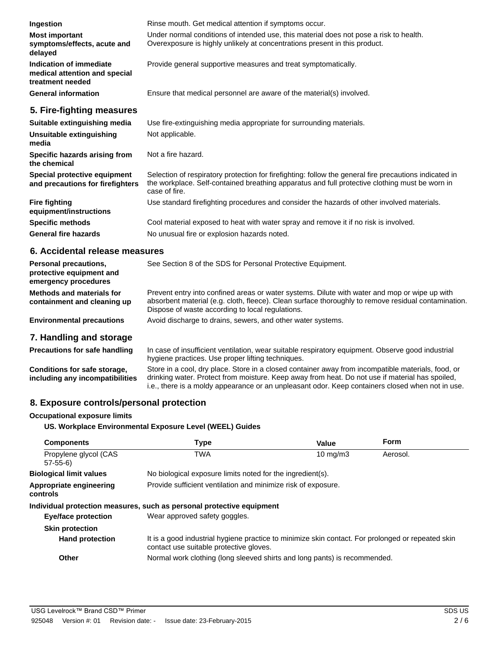| Ingestion                                                                    | Rinse mouth. Get medical attention if symptoms occur.                                                                                                                                                                     |
|------------------------------------------------------------------------------|---------------------------------------------------------------------------------------------------------------------------------------------------------------------------------------------------------------------------|
| <b>Most important</b><br>symptoms/effects, acute and<br>delayed              | Under normal conditions of intended use, this material does not pose a risk to health.<br>Overexposure is highly unlikely at concentrations present in this product.                                                      |
| Indication of immediate<br>medical attention and special<br>treatment needed | Provide general supportive measures and treat symptomatically.                                                                                                                                                            |
| <b>General information</b>                                                   | Ensure that medical personnel are aware of the material(s) involved.                                                                                                                                                      |
| 5. Fire-fighting measures                                                    |                                                                                                                                                                                                                           |
| Suitable extinguishing media                                                 | Use fire-extinguishing media appropriate for surrounding materials.                                                                                                                                                       |
| Unsuitable extinguishing<br>media                                            | Not applicable.                                                                                                                                                                                                           |
| Specific hazards arising from<br>the chemical                                | Not a fire hazard.                                                                                                                                                                                                        |
| Special protective equipment<br>and precautions for firefighters             | Selection of respiratory protection for firefighting: follow the general fire precautions indicated in<br>the workplace. Self-contained breathing apparatus and full protective clothing must be worn in<br>case of fire. |
| <b>Fire fighting</b><br>equipment/instructions                               | Use standard firefighting procedures and consider the hazards of other involved materials.                                                                                                                                |
| <b>Specific methods</b>                                                      | Cool material exposed to heat with water spray and remove it if no risk is involved.                                                                                                                                      |
| <b>General fire hazards</b>                                                  | No unusual fire or explosion hazards noted.                                                                                                                                                                               |

# **6. Accidental release measures**

| Personal precautions,<br>protective equipment and<br>emergency procedures | See Section 8 of the SDS for Personal Protective Equipment.                                                                                                                                                                                              |
|---------------------------------------------------------------------------|----------------------------------------------------------------------------------------------------------------------------------------------------------------------------------------------------------------------------------------------------------|
| Methods and materials for<br>containment and cleaning up                  | Prevent entry into confined areas or water systems. Dilute with water and mop or wipe up with<br>absorbent material (e.g. cloth, fleece). Clean surface thoroughly to remove residual contamination.<br>Dispose of waste according to local regulations. |
| <b>Environmental precautions</b>                                          | Avoid discharge to drains, sewers, and other water systems.                                                                                                                                                                                              |
| 7. Handling and storage                                                   |                                                                                                                                                                                                                                                          |

| <b>Precautions for safe handling</b>                            | In case of insufficient ventilation, wear suitable respiratory equipment. Observe good industrial<br>hygiene practices. Use proper lifting techniques.                                                                                                                                                    |
|-----------------------------------------------------------------|-----------------------------------------------------------------------------------------------------------------------------------------------------------------------------------------------------------------------------------------------------------------------------------------------------------|
| Conditions for safe storage,<br>including any incompatibilities | Store in a cool, dry place. Store in a closed container away from incompatible materials, food, or<br>drinking water. Protect from moisture. Keep away from heat. Do not use if material has spoiled,<br>i.e., there is a moldy appearance or an unpleasant odor. Keep containers closed when not in use. |

# **8. Exposure controls/personal protection**

#### **Occupational exposure limits**

**US. Workplace Environmental Exposure Level (WEEL) Guides**

| <b>Components</b>                   | <b>Type</b>                                                                                                                                  | Value             | Form     |
|-------------------------------------|----------------------------------------------------------------------------------------------------------------------------------------------|-------------------|----------|
| Propylene glycol (CAS<br>$57-55-6$  | <b>TWA</b>                                                                                                                                   | $10 \text{ mg/m}$ | Aerosol. |
| <b>Biological limit values</b>      | No biological exposure limits noted for the ingredient(s).                                                                                   |                   |          |
| Appropriate engineering<br>controls | Provide sufficient ventilation and minimize risk of exposure.                                                                                |                   |          |
|                                     | Individual protection measures, such as personal protective equipment                                                                        |                   |          |
| <b>Eve/face protection</b>          | Wear approved safety goggles.                                                                                                                |                   |          |
| <b>Skin protection</b>              |                                                                                                                                              |                   |          |
| <b>Hand protection</b>              | It is a good industrial hygiene practice to minimize skin contact. For prolonged or repeated skin<br>contact use suitable protective gloves. |                   |          |
| Other                               | Normal work clothing (long sleeved shirts and long pants) is recommended.                                                                    |                   |          |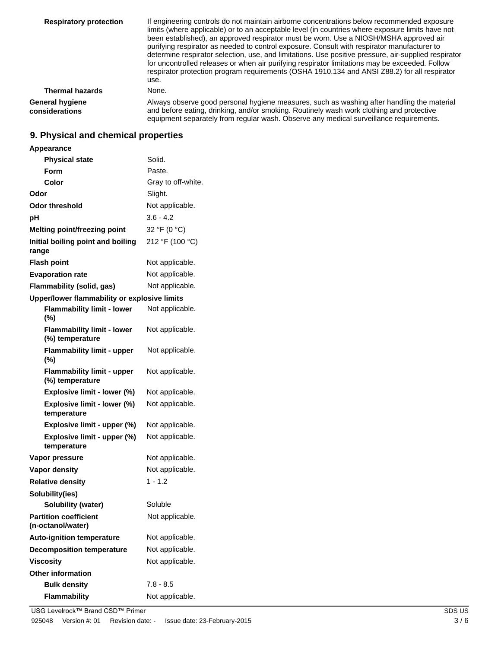| <b>Respiratory protection</b>            | If engineering controls do not maintain airborne concentrations below recommended exposure<br>limits (where applicable) or to an acceptable level (in countries where exposure limits have not<br>been established), an approved respirator must be worn. Use a NIOSH/MSHA approved air<br>purifying respirator as needed to control exposure. Consult with respirator manufacturer to<br>determine respirator selection, use, and limitations. Use positive pressure, air-supplied respirator<br>for uncontrolled releases or when air purifying respirator limitations may be exceeded. Follow<br>respirator protection program requirements (OSHA 1910.134 and ANSI Z88.2) for all respirator<br>use. |
|------------------------------------------|----------------------------------------------------------------------------------------------------------------------------------------------------------------------------------------------------------------------------------------------------------------------------------------------------------------------------------------------------------------------------------------------------------------------------------------------------------------------------------------------------------------------------------------------------------------------------------------------------------------------------------------------------------------------------------------------------------|
| <b>Thermal hazards</b>                   | None.                                                                                                                                                                                                                                                                                                                                                                                                                                                                                                                                                                                                                                                                                                    |
| <b>General hygiene</b><br>considerations | Always observe good personal hygiene measures, such as washing after handling the material<br>and before eating, drinking, and/or smoking. Routinely wash work clothing and protective<br>equipment separately from regular wash. Observe any medical surveillance requirements.                                                                                                                                                                                                                                                                                                                                                                                                                         |

# **9. Physical and chemical properties**

| Appearance                                           |                    |
|------------------------------------------------------|--------------------|
| <b>Physical state</b>                                | Solid.             |
| Form                                                 | Paste.             |
| Color                                                | Gray to off-white. |
| Odor                                                 | Slight.            |
| <b>Odor threshold</b>                                | Not applicable.    |
| рH                                                   | $3.6 - 4.2$        |
| <b>Melting point/freezing point</b>                  | 32 °F (0 °C)       |
| Initial boiling point and boiling<br>range           | 212 °F (100 °C)    |
| <b>Flash point</b>                                   | Not applicable.    |
| <b>Evaporation rate</b>                              | Not applicable.    |
| Flammability (solid, gas)                            | Not applicable.    |
| Upper/lower flammability or explosive limits         |                    |
| <b>Flammability limit - lower</b><br>$(\%)$          | Not applicable.    |
| <b>Flammability limit - lower</b><br>(%) temperature | Not applicable.    |
| <b>Flammability limit - upper</b><br>(%)             | Not applicable.    |
| <b>Flammability limit - upper</b><br>(%) temperature | Not applicable.    |
| Explosive limit - lower (%)                          | Not applicable.    |
| Explosive limit - lower (%)<br>temperature           | Not applicable.    |
| Explosive limit - upper (%)                          | Not applicable.    |
| Explosive limit - upper (%)<br>temperature           | Not applicable.    |
| Vapor pressure                                       | Not applicable.    |
| <b>Vapor density</b>                                 | Not applicable.    |
| <b>Relative density</b>                              | $1 - 1.2$          |
| Solubility(ies)                                      |                    |
| <b>Solubility (water)</b>                            | Soluble            |
| <b>Partition coefficient</b><br>(n-octanol/water)    | Not applicable.    |
| <b>Auto-ignition temperature</b>                     | Not applicable.    |
| <b>Decomposition temperature</b>                     | Not applicable.    |
| <b>Viscosity</b>                                     | Not applicable.    |
| <b>Other information</b>                             |                    |
| <b>Bulk density</b>                                  | 7.8 - 8.5          |
| <b>Flammability</b>                                  | Not applicable.    |

USG Levelrock™ Brand CSD™ Primer SDS US 925048 Version #: 01 Revision date: - Issue date: 23-February-2015 3/6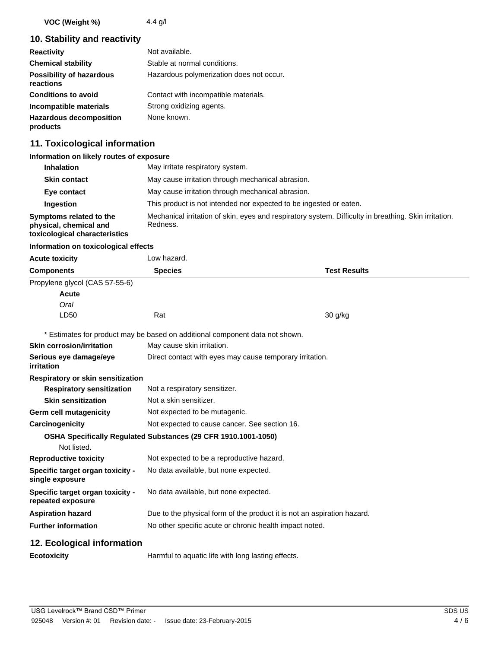**VOC (Weight %)** 4.4 g/l

# **10. Stability and reactivity**

| <b>Reactivity</b>                            | Not available.                           |
|----------------------------------------------|------------------------------------------|
| <b>Chemical stability</b>                    | Stable at normal conditions.             |
| <b>Possibility of hazardous</b><br>reactions | Hazardous polymerization does not occur. |
| <b>Conditions to avoid</b>                   | Contact with incompatible materials.     |
| Incompatible materials                       | Strong oxidizing agents.                 |
| <b>Hazardous decomposition</b><br>products   | None known.                              |

# **11. Toxicological information**

#### **Information on likely routes of exposure**

| <b>Inhalation</b>                                                                  | May irritate respiratory system.                                                                                  |  |
|------------------------------------------------------------------------------------|-------------------------------------------------------------------------------------------------------------------|--|
| <b>Skin contact</b>                                                                | May cause irritation through mechanical abrasion.                                                                 |  |
| Eye contact                                                                        | May cause irritation through mechanical abrasion.                                                                 |  |
| Ingestion                                                                          | This product is not intended nor expected to be ingested or eaten.                                                |  |
| Symptoms related to the<br>physical, chemical and<br>toxicological characteristics | Mechanical irritation of skin, eyes and respiratory system. Difficulty in breathing. Skin irritation.<br>Redness. |  |

#### **Information on toxicological effects**

| <b>Acute toxicity</b>                                 | Low hazard.                                                                  |                     |  |
|-------------------------------------------------------|------------------------------------------------------------------------------|---------------------|--|
| <b>Components</b>                                     | <b>Species</b>                                                               | <b>Test Results</b> |  |
| Propylene glycol (CAS 57-55-6)                        |                                                                              |                     |  |
| <b>Acute</b>                                          |                                                                              |                     |  |
| Oral                                                  |                                                                              |                     |  |
| LD50                                                  | Rat                                                                          | 30 g/kg             |  |
|                                                       | * Estimates for product may be based on additional component data not shown. |                     |  |
| <b>Skin corrosion/irritation</b>                      | May cause skin irritation.                                                   |                     |  |
| Serious eye damage/eye<br>irritation                  | Direct contact with eyes may cause temporary irritation.                     |                     |  |
| <b>Respiratory or skin sensitization</b>              |                                                                              |                     |  |
| <b>Respiratory sensitization</b>                      | Not a respiratory sensitizer.                                                |                     |  |
| <b>Skin sensitization</b>                             | Not a skin sensitizer.                                                       |                     |  |
| <b>Germ cell mutagenicity</b>                         | Not expected to be mutagenic.                                                |                     |  |
| Carcinogenicity                                       | Not expected to cause cancer. See section 16.                                |                     |  |
|                                                       | OSHA Specifically Regulated Substances (29 CFR 1910.1001-1050)               |                     |  |
| Not listed.                                           |                                                                              |                     |  |
| <b>Reproductive toxicity</b>                          | Not expected to be a reproductive hazard.                                    |                     |  |
| Specific target organ toxicity -<br>single exposure   | No data available, but none expected.                                        |                     |  |
| Specific target organ toxicity -<br>repeated exposure | No data available, but none expected.                                        |                     |  |
| <b>Aspiration hazard</b>                              | Due to the physical form of the product it is not an aspiration hazard.      |                     |  |
| <b>Further information</b>                            | No other specific acute or chronic health impact noted.                      |                     |  |
| 12. Ecological information                            |                                                                              |                     |  |
| <b>Ecotoxicity</b>                                    | Harmful to aquatic life with long lasting effects.                           |                     |  |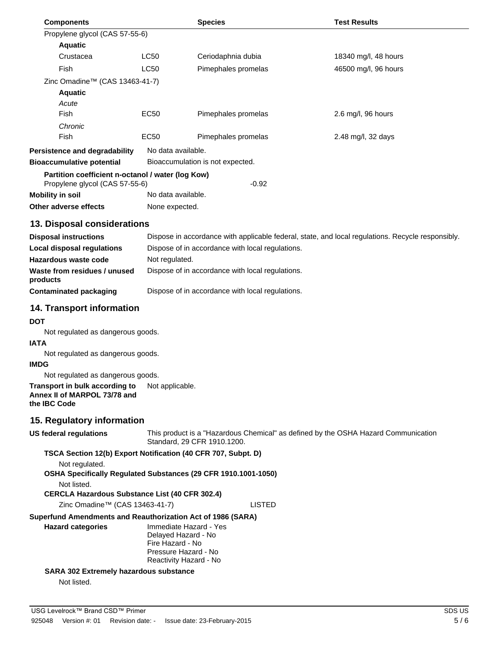| <b>Components</b>                                 |                    | <b>Species</b>                   | <b>Test Results</b>  |
|---------------------------------------------------|--------------------|----------------------------------|----------------------|
| Propylene glycol (CAS 57-55-6)                    |                    |                                  |                      |
| <b>Aquatic</b>                                    |                    |                                  |                      |
| Crustacea                                         | <b>LC50</b>        | Ceriodaphnia dubia               | 18340 mg/l, 48 hours |
| Fish                                              | <b>LC50</b>        | Pimephales promelas              | 46500 mg/l, 96 hours |
| Zinc Omadine™ (CAS 13463-41-7)                    |                    |                                  |                      |
| <b>Aquatic</b>                                    |                    |                                  |                      |
| Acute                                             |                    |                                  |                      |
| Fish                                              | EC50               | Pimephales promelas              | $2.6$ mg/l, 96 hours |
| Chronic                                           |                    |                                  |                      |
| Fish                                              | EC50               | Pimephales promelas              | 2.48 mg/l, 32 days   |
| Persistence and degradability                     | No data available. |                                  |                      |
| <b>Bioaccumulative potential</b>                  |                    | Bioaccumulation is not expected. |                      |
| Partition coefficient n-octanol / water (log Kow) |                    | $-0.92$                          |                      |
| Propylene glycol (CAS 57-55-6)                    | No data available. |                                  |                      |
| Mobility in soil                                  |                    |                                  |                      |
| Other adverse effects                             | None expected.     |                                  |                      |

#### **13. Disposal considerations**

| <b>Disposal instructions</b>             | Dispose in accordance with applicable federal, state, and local regulations. Recycle responsibly. |
|------------------------------------------|---------------------------------------------------------------------------------------------------|
| Local disposal regulations               | Dispose of in accordance with local regulations.                                                  |
| Hazardous waste code                     | Not regulated.                                                                                    |
| Waste from residues / unused<br>products | Dispose of in accordance with local regulations.                                                  |
| Contaminated packaging                   | Dispose of in accordance with local regulations.                                                  |

## **14. Transport information**

#### **DOT**

Not regulated as dangerous goods.

#### **IATA**

Not regulated as dangerous goods.

#### **IMDG**

Not regulated as dangerous goods.

**Transport in bulk according to** Not applicable. **Annex II of MARPOL 73/78 and the IBC Code**

#### **15. Regulatory information**

| US federal regulations | This product is a "Hazardous Chemical" as defined by the OSHA Hazard Communication |  |
|------------------------|------------------------------------------------------------------------------------|--|
|                        | Standard, 29 CFR 1910.1200.                                                        |  |

#### **TSCA Section 12(b) Export Notification (40 CFR 707, Subpt. D)**

Not regulated.

#### **OSHA Specifically Regulated Substances (29 CFR 1910.1001-1050)**

Not listed.

#### **CERCLA Hazardous Substance List (40 CFR 302.4)**

Zinc Omadine™ (CAS 13463-41-7) LISTED

#### **Superfund Amendments and Reauthorization Act of 1986 (SARA)**

| <b>Hazard categories</b> | Immediate Hazard - Yes |
|--------------------------|------------------------|
|                          | Delayed Hazard - No    |
|                          | Fire Hazard - No       |
|                          | Pressure Hazard - No   |
|                          | Reactivity Hazard - No |

## **SARA 302 Extremely hazardous substance**

Not listed.